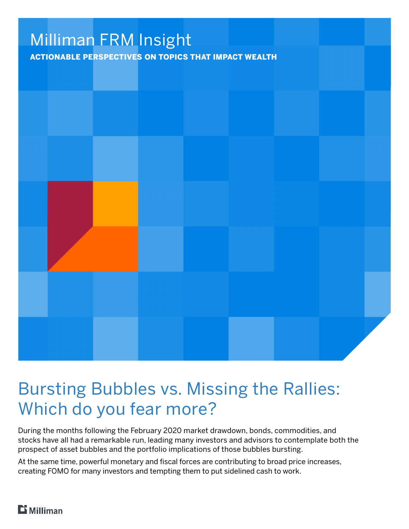

# Bursting Bubbles vs. Missing the Rallies: Which do you fear more?

During the months following the February 2020 market drawdown, bonds, commodities, and stocks have all had a remarkable run, leading many investors and advisors to contemplate both the prospect of asset bubbles and the portfolio implications of those bubbles bursting.

At the same time, powerful monetary and fiscal forces are contributing to broad price increases, creating FOMO for many investors and tempting them to put sidelined cash to work.

# $\mathbf{B}$  Milliman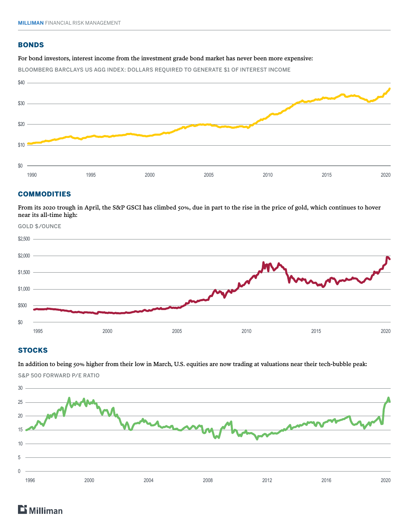## **BONDS**

#### For bond investors, interest income from the investment grade bond market has never been more expensive:

BLOOMBERG BARCLAYS US AGG INDEX: DOLLARS REQUIRED TO GENERATE \$1 OF INTEREST INCOME



#### COMMODITIES

From its 2020 trough in April, the S&P GSCI has climbed 50%, due in part to the rise in the price of gold, which continues to hover near its all-time high:



# **STOCKS**

In addition to being 50% higher from their low in March, U.S. equities are now trading at valuations near their tech-bubble peak: S&P 500 FORWARD P/E RATIO



# **Milliman**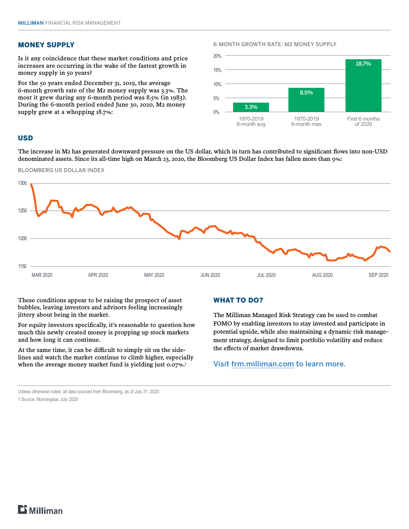## MONEY SUPPLY

Is it any coincidence that these market conditions and price increases are occurring in the wake of the fastest growth in money supply in 50 years?

For the 50 years ended December 31, 2019, the average 6-month growth rate of the M2 money supply was 3.3%. The most it grew during any 6-month period was 8.5% (in 1983). During the 6-month period ended June 30, 2020, M2 money supply grew at a whopping 18.7%:

#### 6-MONTH GROWTH RATE: M2 MONEY SUPPLY



#### USD

The increase in M2 has generated downward pressure on the US dollar, which in turn has contributed to significant flows into non-USD denominated assets. Since its all-time high on March 23, 2020, the Bloomberg US Dollar Index has fallen more than 9%:



These conditions appear to be raising the prospect of asset bubbles, leaving investors and advisors feeling increasingly jittery about being in the market.

For equity investors specifically, it's reasonable to question how much this newly created money is propping up stock markets and how long it can continue.

At the same time, it can be difficult to simply sit on the sidelines and watch the market continue to climb higher, especially when the average money market fund is yielding just 0.07%.<sup>1</sup>

#### WHAT TO DO?

The Milliman Managed Risk Strategy can be used to combat FOMO by enabling investors to stay invested and participate in potential upside, while also maintaining a dynamic risk management strategy, designed to limit portfolio volatility and reduce the effects of market drawdowns.

# Visit [frm.milliman.com](https://frm.milliman.com/en/) to learn more.

Unless otherwise noted, all data sourced from Bloomberg, as of July 31, 2020.

1 Source: Morningstar, July 2020